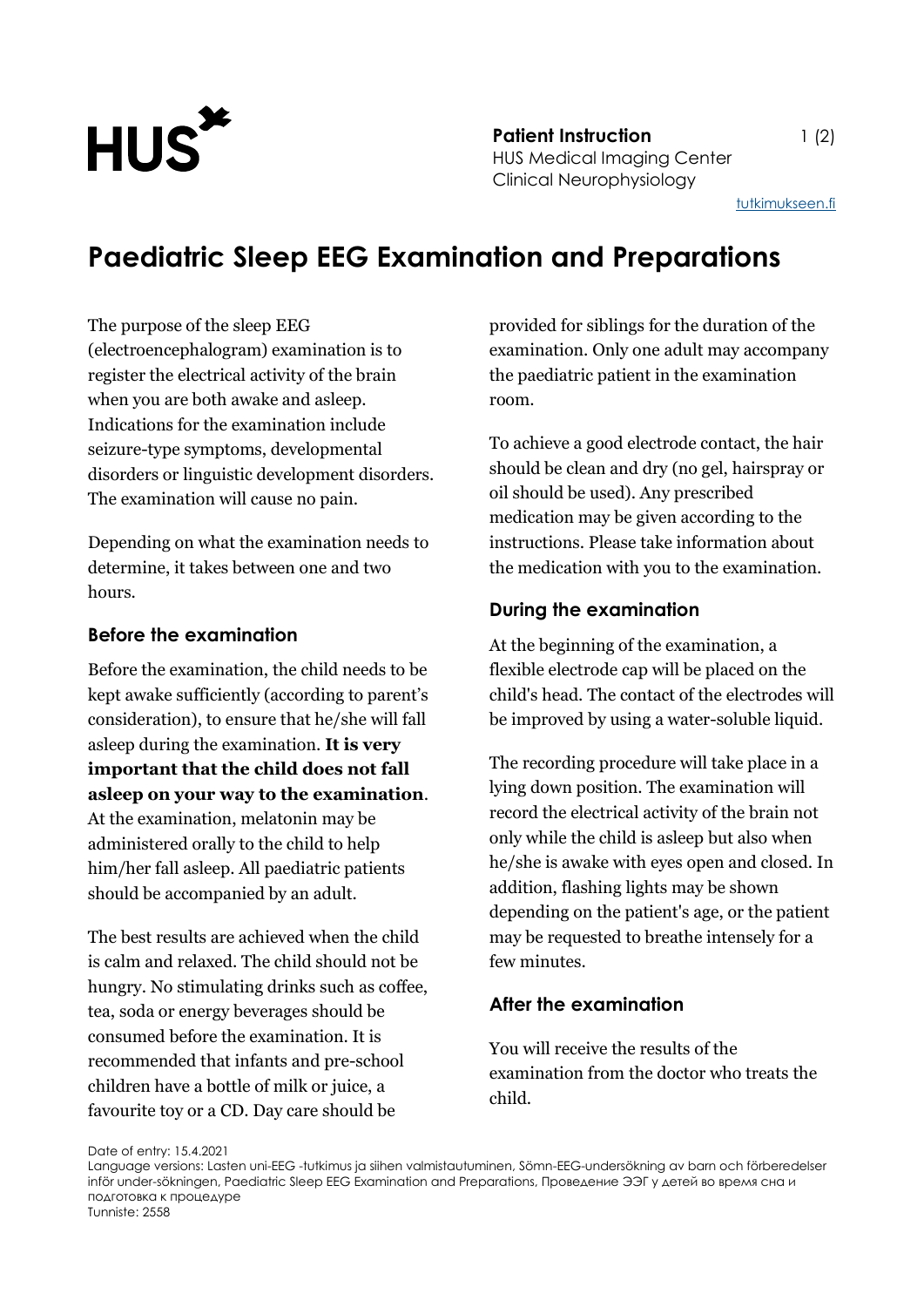

**Patient Instruction** 1 (2) HUS Medical Imaging Center Clinical Neurophysiology

[tutkimukseen.fi](http://www.tutkimukseen.fi/)

# **Paediatric Sleep EEG Examination and Preparations**

The purpose of the sleep EEG (electroencephalogram) examination is to register the electrical activity of the brain when you are both awake and asleep. Indications for the examination include seizure-type symptoms, developmental disorders or linguistic development disorders. The examination will cause no pain.

Depending on what the examination needs to determine, it takes between one and two hours.

## **Before the examination**

Before the examination, the child needs to be kept awake sufficiently (according to parent's consideration), to ensure that he/she will fall asleep during the examination. **It is very important that the child does not fall asleep on your way to the examination**. At the examination, melatonin may be administered orally to the child to help him/her fall asleep. All paediatric patients should be accompanied by an adult.

The best results are achieved when the child is calm and relaxed. The child should not be hungry. No stimulating drinks such as coffee, tea, soda or energy beverages should be consumed before the examination. It is recommended that infants and pre-school children have a bottle of milk or juice, a favourite toy or a CD. Day care should be

provided for siblings for the duration of the examination. Only one adult may accompany the paediatric patient in the examination room.

To achieve a good electrode contact, the hair should be clean and dry (no gel, hairspray or oil should be used). Any prescribed medication may be given according to the instructions. Please take information about the medication with you to the examination.

## **During the examination**

At the beginning of the examination, a flexible electrode cap will be placed on the child's head. The contact of the electrodes will be improved by using a water-soluble liquid.

The recording procedure will take place in a lying down position. The examination will record the electrical activity of the brain not only while the child is asleep but also when he/she is awake with eyes open and closed. In addition, flashing lights may be shown depending on the patient's age, or the patient may be requested to breathe intensely for a few minutes.

#### **After the examination**

You will receive the results of the examination from the doctor who treats the child.

Date of entry: 15.4.2021

Language versions: Lasten uni-EEG -tutkimus ja siihen valmistautuminen, Sömn-EEG-undersökning av barn och förberedelser inför under-sökningen, Paediatric Sleep EEG Examination and Preparations, Проведение ЭЭГ у детей во время сна и подготовка к процедуре Tunniste: 2558